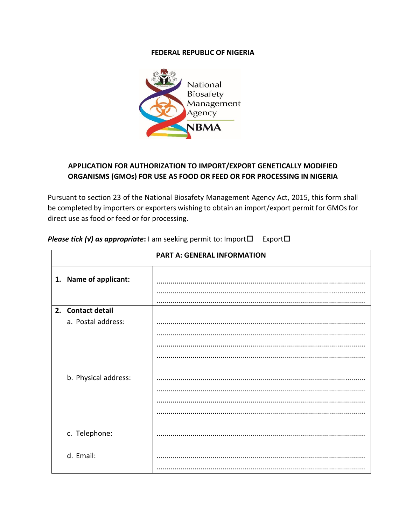## **FEDERAL REPUBLIC OF NIGERIA**



## APPLICATION FOR AUTHORIZATION TO IMPORT/EXPORT GENETICALLY MODIFIED ORGANISMS (GMOs) FOR USE AS FOOD OR FEED OR FOR PROCESSING IN NIGERIA

Pursuant to section 23 of the National Biosafety Management Agency Act, 2015, this form shall be completed by importers or exporters wishing to obtain an import/export permit for GMOs for direct use as food or feed or for processing.

|                       | <b>PART A: GENERAL INFORMATION</b> |
|-----------------------|------------------------------------|
| 1. Name of applicant: |                                    |
| 2. Contact detail     |                                    |
| a. Postal address:    |                                    |
|                       |                                    |
|                       |                                    |
|                       |                                    |
| b. Physical address:  |                                    |
|                       |                                    |
|                       |                                    |
|                       |                                    |
| c. Telephone:         |                                    |
| d. Email:             |                                    |
|                       |                                    |

**Please tick (v) as appropriate:** I am seeking permit to: Import $\Box$  Export $\Box$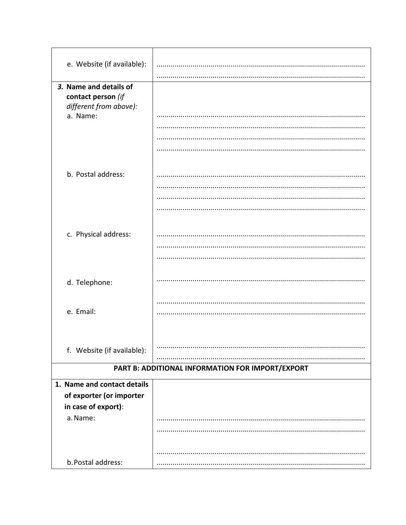| e. Website (if available):                                                         |                                                  |
|------------------------------------------------------------------------------------|--------------------------------------------------|
|                                                                                    |                                                  |
| 3. Name and details of<br>contact person (if<br>different from above):<br>a. Name: |                                                  |
| b. Postal address:                                                                 |                                                  |
| c. Physical address:                                                               |                                                  |
| d. Telephone:                                                                      |                                                  |
| e. Email:                                                                          |                                                  |
| f. Website (if available):                                                         |                                                  |
|                                                                                    | PART B: ADDITIONAL INFORMATION FOR IMPORT/EXPORT |
| 1. Name and contact details                                                        |                                                  |
| of exporter (or importer                                                           |                                                  |
| in case of export):                                                                |                                                  |
| a. Name:                                                                           |                                                  |
| b. Postal address:                                                                 |                                                  |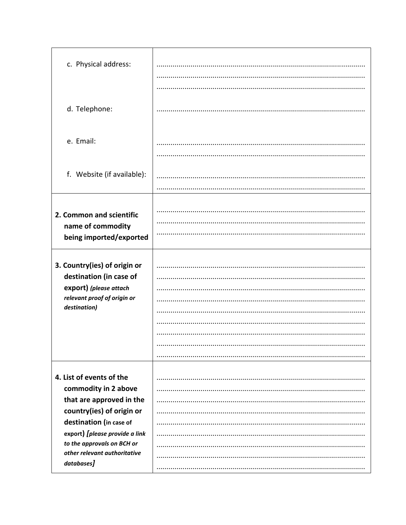| c. Physical address:<br>d. Telephone:                                                                                                                                                                                                              |  |
|----------------------------------------------------------------------------------------------------------------------------------------------------------------------------------------------------------------------------------------------------|--|
| e. Email:                                                                                                                                                                                                                                          |  |
| f. Website (if available):                                                                                                                                                                                                                         |  |
| 2. Common and scientific<br>name of commodity<br>being imported/exported                                                                                                                                                                           |  |
| 3. Country(ies) of origin or<br>destination (in case of<br>export) (please attach<br>relevant proof of origin or<br>destination)                                                                                                                   |  |
| 4. List of events of the<br>commodity in 2 above<br>that are approved in the<br>country(ies) of origin or<br>destination (in case of<br>export) [please provide a link<br>to the approvals on BCH or<br>other relevant authoritative<br>databases] |  |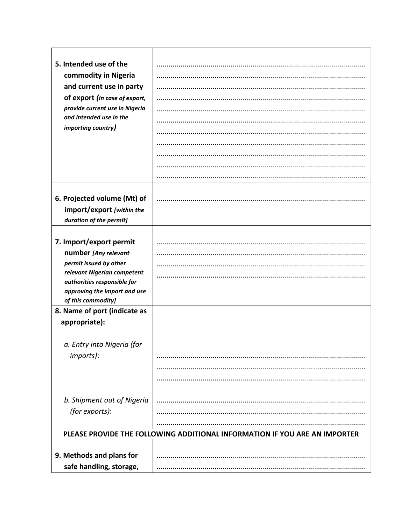| 5. Intended use of the                                    | .                                                                          |
|-----------------------------------------------------------|----------------------------------------------------------------------------|
| commodity in Nigeria                                      |                                                                            |
| and current use in party                                  |                                                                            |
| of export (In case of export,                             |                                                                            |
| provide current use in Nigeria<br>and intended use in the |                                                                            |
| importing country)                                        |                                                                            |
|                                                           |                                                                            |
|                                                           |                                                                            |
|                                                           |                                                                            |
|                                                           |                                                                            |
|                                                           |                                                                            |
| 6. Projected volume (Mt) of<br>import/export [within the  |                                                                            |
| duration of the permit]                                   |                                                                            |
|                                                           |                                                                            |
| 7. Import/export permit                                   |                                                                            |
| number [Any relevant                                      |                                                                            |
| permit issued by other                                    |                                                                            |
| relevant Nigerian competent                               |                                                                            |
| authorities responsible for                               |                                                                            |
| approving the import and use<br>of this commodity]        |                                                                            |
| 8. Name of port (indicate as                              |                                                                            |
| appropriate):                                             |                                                                            |
|                                                           |                                                                            |
| a. Entry into Nigeria (for                                |                                                                            |
| imports):                                                 |                                                                            |
|                                                           |                                                                            |
|                                                           |                                                                            |
|                                                           |                                                                            |
| b. Shipment out of Nigeria                                |                                                                            |
| (for exports):                                            |                                                                            |
|                                                           |                                                                            |
|                                                           | PLEASE PROVIDE THE FOLLOWING ADDITIONAL INFORMATION IF YOU ARE AN IMPORTER |
|                                                           |                                                                            |
| 9. Methods and plans for                                  |                                                                            |
| safe handling, storage,                                   |                                                                            |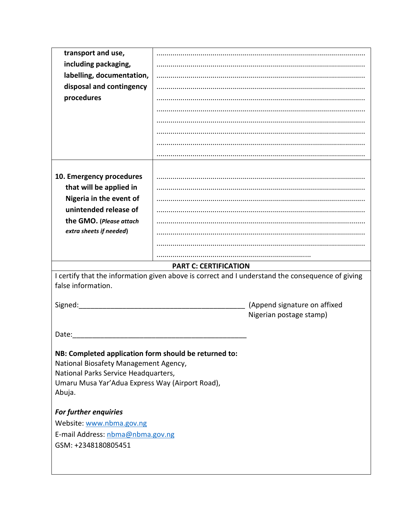| transport and use,                                        |                                                                                                  |  |  |
|-----------------------------------------------------------|--------------------------------------------------------------------------------------------------|--|--|
| including packaging,                                      |                                                                                                  |  |  |
| labelling, documentation,                                 |                                                                                                  |  |  |
| disposal and contingency                                  |                                                                                                  |  |  |
| procedures                                                |                                                                                                  |  |  |
|                                                           |                                                                                                  |  |  |
|                                                           |                                                                                                  |  |  |
|                                                           |                                                                                                  |  |  |
|                                                           |                                                                                                  |  |  |
|                                                           |                                                                                                  |  |  |
|                                                           |                                                                                                  |  |  |
| 10. Emergency procedures                                  |                                                                                                  |  |  |
| that will be applied in                                   |                                                                                                  |  |  |
| Nigeria in the event of                                   |                                                                                                  |  |  |
| unintended release of                                     |                                                                                                  |  |  |
| the GMO. (Please attach                                   |                                                                                                  |  |  |
| extra sheets if needed)                                   |                                                                                                  |  |  |
|                                                           |                                                                                                  |  |  |
|                                                           |                                                                                                  |  |  |
| <b>PART C: CERTIFICATION</b>                              |                                                                                                  |  |  |
|                                                           |                                                                                                  |  |  |
|                                                           | I certify that the information given above is correct and I understand the consequence of giving |  |  |
| false information.                                        |                                                                                                  |  |  |
|                                                           |                                                                                                  |  |  |
| Signed:                                                   | (Append signature on affixed                                                                     |  |  |
|                                                           | Nigerian postage stamp)                                                                          |  |  |
| Date:                                                     |                                                                                                  |  |  |
|                                                           |                                                                                                  |  |  |
| NB: Completed application form should be returned to:     |                                                                                                  |  |  |
| National Biosafety Management Agency,                     |                                                                                                  |  |  |
| National Parks Service Headquarters,                      |                                                                                                  |  |  |
| Umaru Musa Yar'Adua Express Way (Airport Road),<br>Abuja. |                                                                                                  |  |  |
|                                                           |                                                                                                  |  |  |
| <b>For further enquiries</b>                              |                                                                                                  |  |  |
| Website: www.nbma.gov.ng                                  |                                                                                                  |  |  |
| E-mail Address: nbma@nbma.gov.ng                          |                                                                                                  |  |  |
| GSM: +2348180805451                                       |                                                                                                  |  |  |
|                                                           |                                                                                                  |  |  |